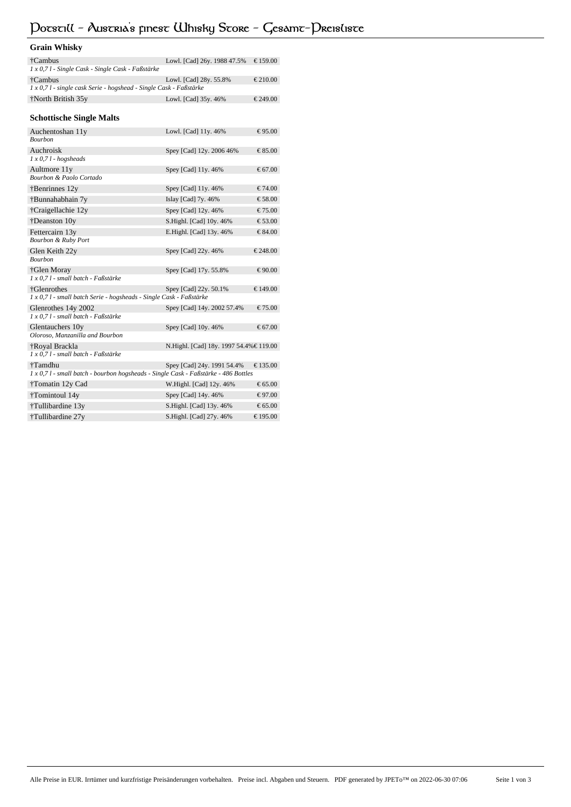# **Potstill - Austria's finest Whisky Store - Gesamt-Preisliste**

| <b>Grain Whisky</b>                                                                            |                                         |                  |
|------------------------------------------------------------------------------------------------|-----------------------------------------|------------------|
| †Cambus<br>1 x 0,7 l - Single Cask - Single Cask - Faßstärke                                   | Lowl. [Cad] 26y. 1988 47.5%             | € 159.00         |
| †Cambus<br>1 x 0,7 l - single cask Serie - hogshead - Single Cask - Faßstärke                  | Lowl. [Cad] 28y. 55.8%                  | € 210.00         |
| †North British 35y                                                                             | Lowl. [Cad] 35y. 46%                    | € 249.00         |
| <b>Schottische Single Malts</b>                                                                |                                         |                  |
| Auchentoshan 11y<br>Bourbon                                                                    | Lowl. [Cad] 11y. 46%                    | € 95.00          |
| Auchroisk<br>$1 x 0, 71 - hogsheads$                                                           | Spey [Cad] 12y. 2006 46%                | € 85.00          |
| Aultmore 11y<br>Bourbon & Paolo Cortado                                                        | Spey [Cad] 11y. 46%                     | € 67.00          |
| $\ddagger$ Benrinnes 12y                                                                       | Spey [Cad] 11y. 46%                     | $\epsilon$ 74.00 |
| †Bunnahabhain 7y                                                                               | Islay [Cad] 7y. 46%                     | € 58.00          |
| †Craigellachie 12y                                                                             | Spey [Cad] 12y. 46%                     | € 75.00          |
| †Deanston 10y                                                                                  | S.Highl. [Cad] 10y. 46%                 | € 53.00          |
| Fettercairn 13y<br><b>Bourbon &amp; Ruby Port</b>                                              | E.Highl. [Cad] 13y. 46%                 | € 84.00          |
| Glen Keith 22y<br>Bourbon                                                                      | Spey [Cad] 22y. 46%                     | € 248.00         |
| †Glen Moray<br>1 x 0,7 l - small batch - Faßstärke                                             | Spey [Cad] 17y. 55.8%                   | € 90.00          |
| †Glenrothes<br>1 x 0,7 l - small batch Serie - hogsheads - Single Cask - Faßstärke             | Spey [Cad] 22y. 50.1%                   | € 149.00         |
| Glenrothes 14y 2002<br>1 x 0,7 l - small batch - Faßstärke                                     | Spey [Cad] 14y. 2002 57.4%              | € 75.00          |
| Glentauchers 10y<br>Oloroso, Manzanilla and Bourbon                                            | Spey [Cad] 10y. 46%                     | € 67.00          |
| †Royal Brackla<br>1 x 0,7 l - small batch - Faßstärke                                          | N.Highl. [Cad] 18y. 1997 54.4% € 119.00 |                  |
| †Tamdhu<br>1 x 0,7 l - small batch - bourbon hogsheads - Single Cask - Faßstärke - 486 Bottles | Spey [Cad] 24y. 1991 54.4%              | € 135.00         |
| †Tomatin 12y Cad                                                                               | W.Highl. [Cad] 12y. 46%                 | € 65.00          |
| †Tomintoul 14y                                                                                 | Spey [Cad] 14y. 46%                     | € 97.00          |
| †Tullibardine 13y                                                                              | S.Highl. [Cad] 13y. 46%                 | € 65.00          |
| †Tullibardine 27y                                                                              | S.Highl. [Cad] 27y. 46%                 | € 195.00         |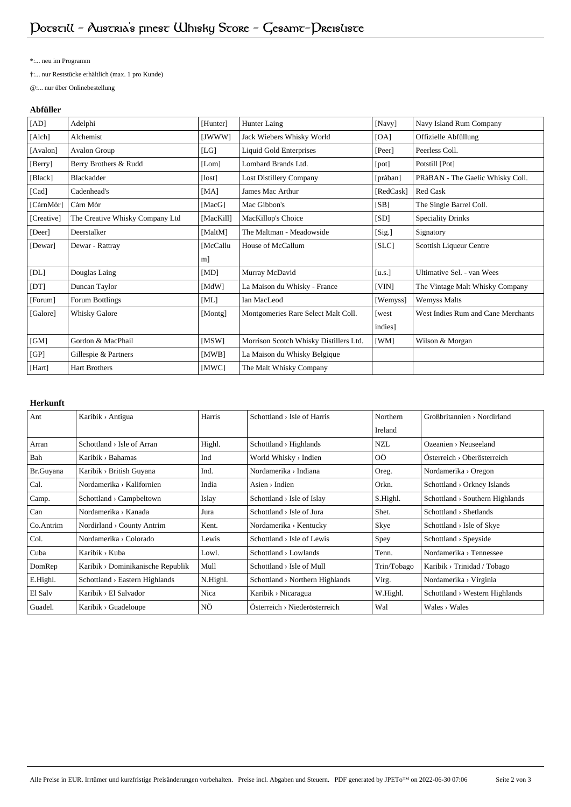\*:... neu im Programm

†:... nur Reststücke erhältlich (max. 1 pro Kunde)

@:... nur über Onlinebestellung

## **Abfüller**

| [AD]       | Adelphi                         | [Hunter]  | Hunter Laing                           | [Navy]    | Navy Island Rum Company            |
|------------|---------------------------------|-----------|----------------------------------------|-----------|------------------------------------|
| [Alch]     | Alchemist                       | [JWWW]    | Jack Wiebers Whisky World              | [OA]      | Offizielle Abfüllung               |
| [Avalon]   | Avalon Group                    | [LG]      | <b>Liquid Gold Enterprises</b>         | [Peer]    | Peerless Coll.                     |
| [Berry]    | Berry Brothers & Rudd           | [Lom]     | Lombard Brands Ltd.                    | [pot]     | Potstill [Pot]                     |
| [Black]    | Blackadder                      | [lost]    | <b>Lost Distillery Company</b>         | [pràban]  | PRàBAN - The Gaelic Whisky Coll.   |
| [Cad]      | Cadenhead's                     | [MA]      | James Mac Arthur                       | [RedCask] | Red Cask                           |
| [CàrnMòr]  | Càrn Mòr                        | [MacG]    | Mac Gibbon's                           | [SB]      | The Single Barrel Coll.            |
| [Creative] | The Creative Whisky Company Ltd | [MacKill] | MacKillop's Choice                     | [SD]      | <b>Speciality Drinks</b>           |
| [Deer]     | Deerstalker                     | [MaltM]   | The Maltman - Meadowside               | [Sig.]    | Signatory                          |
| [Dewar]    | Dewar - Rattray                 | [McCallu  | House of McCallum                      | [SLC]     | Scottish Liqueur Centre            |
|            |                                 | m         |                                        |           |                                    |
| [DL]       | Douglas Laing                   | [MD]      | Murray McDavid                         | [u.s.]    | Ultimative Sel. - van Wees         |
| [DT]       | Duncan Taylor                   | [MdW]     | La Maison du Whisky - France           | [VIN]     | The Vintage Malt Whisky Company    |
| [Forum]    | Forum Bottlings                 | [ML]      | Ian MacLeod                            | [Wemyss]  | <b>Wemyss Malts</b>                |
| [Galore]   | Whisky Galore                   | [Montg]   | Montgomeries Rare Select Malt Coll.    | [west     | West Indies Rum and Cane Merchants |
|            |                                 |           |                                        | indies]   |                                    |
| [GM]       | Gordon & MacPhail               | [MSW]     | Morrison Scotch Whisky Distillers Ltd. | [WM]      | Wilson & Morgan                    |
| [GP]       | Gillespie & Partners            | [MWB]     | La Maison du Whisky Belgique           |           |                                    |
| [Hart]     | <b>Hart Brothers</b>            | [MWC]     | The Malt Whisky Company                |           |                                    |

# **Herkunft**

| Ant       | Karibik > Antigua                          | Harris   | $Schottland > Isle$ of Harris               | Northern    | GroBbritaninen > Nordirland                 |
|-----------|--------------------------------------------|----------|---------------------------------------------|-------------|---------------------------------------------|
|           |                                            |          |                                             | Ireland     |                                             |
| Arran     | $Schottland \rightarrow Isle$ of Arran     | Highl.   | $Schottland \rightarrow Highlands$          | <b>NZL</b>  | $O$ zeanien > Neuseeland                    |
| Bah       | Karibik > Bahamas                          | Ind      | World Whisky > Indien                       | 0Ö          | $Österreich \rightarrow Oberösterreich$     |
| Br.Guyana | Karibik > British Guyana                   | Ind.     | Nordamerika > Indiana                       | Oreg.       | Nordamerika > Oregon                        |
| Cal.      | Nordamerika > Kalifornien                  | India    | $\text{Aisen} \rightarrow \text{Indien}$    | Orkn.       | Schottland > Orkney Islands                 |
| Camp.     | Schottland > Campbeltown                   | Islay    | Schottland $>$ Isle of Islay                | S.Highl.    | $Schottland \rightarrow Southern$ Highlands |
| Can       | Nordamerika > Kanada                       | Jura     | Schottland $>$ Isle of Jura                 | Shet.       | Schottland > Shetlands                      |
| Co.Antrim | Nordirland > County Antrim                 | Kent.    | Nordamerika > Kentucky                      | Skye        | Schottland > Isle of Skye                   |
| Col.      | Nordamerika > Colorado                     | Lewis    | $Schottland \rightarrow Isle of Lewis$      | Spey        | $Schottland \rightarrow Speyside$           |
| Cuba      | Karibik > Kuba                             | Lowl.    | $Schottland \rightarrow Lowlands$           | Tenn.       | Nordamerika > Tennessee                     |
| DomRep    | Karibik > Dominikanische Republik          | Mull     | $Schottland$ > Isle of Mull                 | Trin/Tobago | Karibik > Trinidad / Tobago                 |
| E.Highl.  | $Schottland \rightarrow Eastern Highlands$ | N.Highl. | $Schottland \rightarrow Northern Highlands$ | Virg.       | Nordamerika > Virginia                      |
| El Salv   | Karibik > El Salvador                      | Nica     | Karibik > Nicaragua                         | W.Highl.    | Schottland > Western Highlands              |
| Guadel.   | Karibik > Guadeloupe                       | ΝÖ       | $Österreich \rightarrow Niederösterreich$   | Wal         | $Wales \rightarrow Wales$                   |